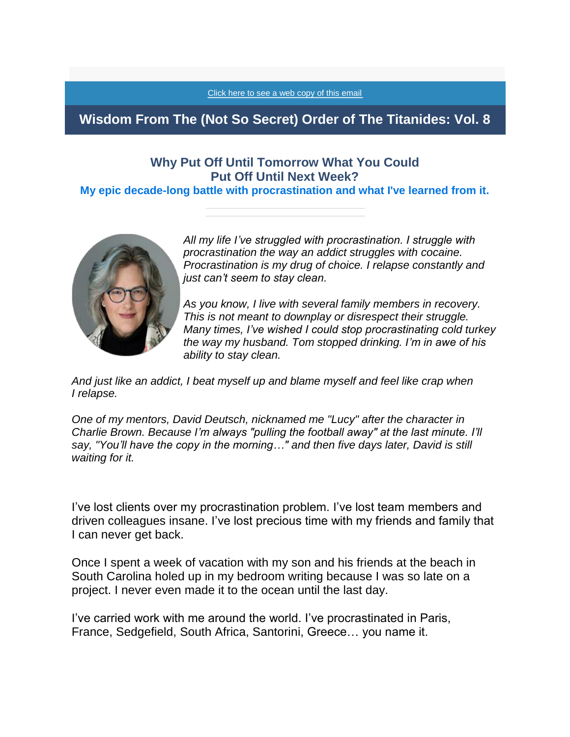[Click here to see a web copy of this email](https://titanidesllc.acemlna.com/lt.php?notrack=1&s=73cf14e81b2f867eff107af92aee8531&i=70A111A7A375)

# **Wisdom From The (Not So Secret) Order of The Titanides: Vol. 8**

## **Why Put Off Until Tomorrow What You Could Put Off Until Next Week?**

**My epic decade-long battle with procrastination and what I've learned from it.**



*All my life I've struggled with procrastination. I struggle with procrastination the way an addict struggles with cocaine. Procrastination is my drug of choice. I relapse constantly and just can't seem to stay clean.*

*As you know, I live with several family members in recovery. This is not meant to downplay or disrespect their struggle. Many times, I've wished I could stop procrastinating cold turkey the way my husband. Tom stopped drinking. I'm in awe of his ability to stay clean.*

*And just like an addict, I beat myself up and blame myself and feel like crap when I relapse.*

*One of my mentors, David Deutsch, nicknamed me "Lucy" after the character in Charlie Brown. Because I'm always "pulling the football away" at the last minute. I'll say, "You'll have the copy in the morning…" and then five days later, David is still waiting for it.*

I've lost clients over my procrastination problem. I've lost team members and driven colleagues insane. I've lost precious time with my friends and family that I can never get back.

Once I spent a week of vacation with my son and his friends at the beach in South Carolina holed up in my bedroom writing because I was so late on a project. I never even made it to the ocean until the last day.

I've carried work with me around the world. I've procrastinated in Paris, France, Sedgefield, South Africa, Santorini, Greece… you name it.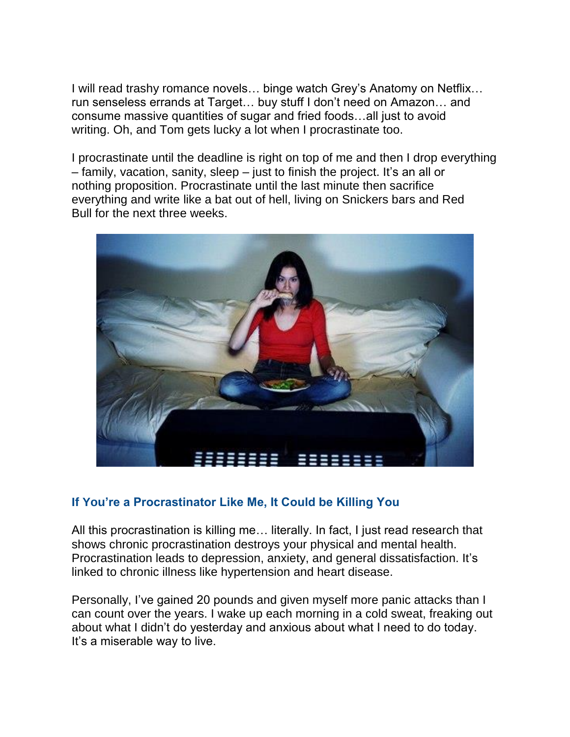I will read trashy romance novels… binge watch Grey's Anatomy on Netflix… run senseless errands at Target… buy stuff I don't need on Amazon… and consume massive quantities of sugar and fried foods…all just to avoid writing. Oh, and Tom gets lucky a lot when I procrastinate too.

I procrastinate until the deadline is right on top of me and then I drop everything – family, vacation, sanity, sleep – just to finish the project. It's an all or nothing proposition. Procrastinate until the last minute then sacrifice everything and write like a bat out of hell, living on Snickers bars and Red Bull for the next three weeks.



### **If You're a Procrastinator Like Me, It Could be Killing You**

All this procrastination is killing me… literally. In fact, I just read research that shows chronic procrastination destroys your physical and mental health. Procrastination leads to depression, anxiety, and general dissatisfaction. It's linked to chronic illness like hypertension and heart disease.

Personally, I've gained 20 pounds and given myself more panic attacks than I can count over the years. I wake up each morning in a cold sweat, freaking out about what I didn't do yesterday and anxious about what I need to do today. It's a miserable way to live.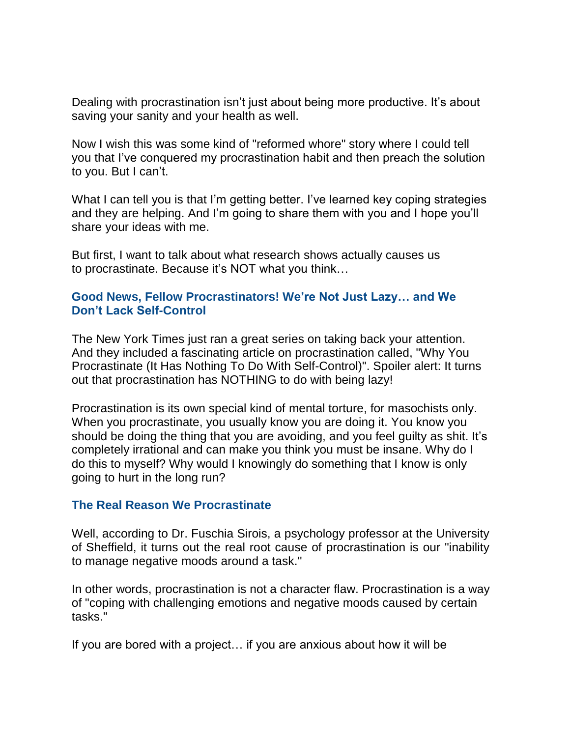Dealing with procrastination isn't just about being more productive. It's about saving your sanity and your health as well.

Now I wish this was some kind of "reformed whore" story where I could tell you that I've conquered my procrastination habit and then preach the solution to you. But I can't.

What I can tell you is that I'm getting better. I've learned key coping strategies and they are helping. And I'm going to share them with you and I hope you'll share your ideas with me.

But first, I want to talk about what research shows actually causes us to procrastinate. Because it's NOT what you think…

#### **Good News, Fellow Procrastinators! We're Not Just Lazy… and We Don't Lack Self-Control**

The New York Times just ran a great series on taking back your attention. And they included a fascinating article on procrastination called, "Why You Procrastinate (It Has Nothing To Do With Self-Control)". Spoiler alert: It turns out that procrastination has NOTHING to do with being lazy!

Procrastination is its own special kind of mental torture, for masochists only. When you procrastinate, you usually know you are doing it. You know you should be doing the thing that you are avoiding, and you feel guilty as shit. It's completely irrational and can make you think you must be insane. Why do I do this to myself? Why would I knowingly do something that I know is only going to hurt in the long run?

#### **The Real Reason We Procrastinate**

Well, according to Dr. Fuschia Sirois, a psychology professor at the University of Sheffield, it turns out the real root cause of procrastination is our "inability to manage negative moods around a task."

In other words, procrastination is not a character flaw. Procrastination is a way of "coping with challenging emotions and negative moods caused by certain tasks."

If you are bored with a project… if you are anxious about how it will be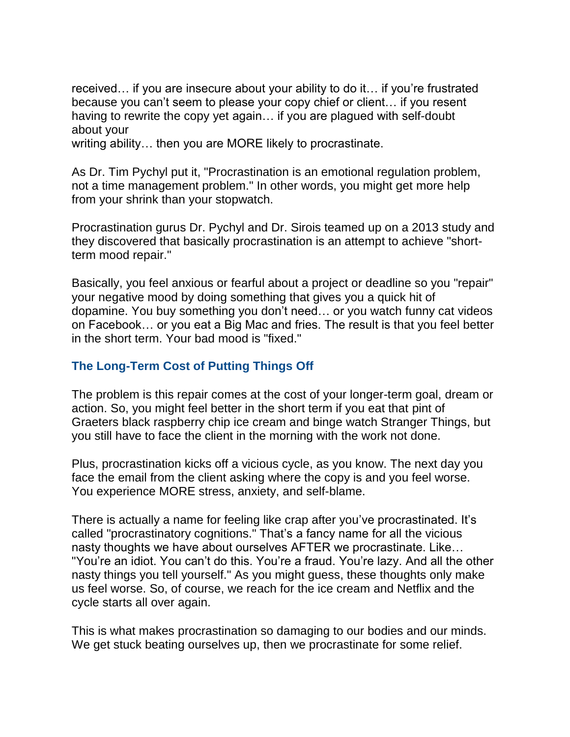received… if you are insecure about your ability to do it… if you're frustrated because you can't seem to please your copy chief or client… if you resent having to rewrite the copy yet again… if you are plagued with self-doubt about your writing ability… then you are MORE likely to procrastinate.

As Dr. Tim Pychyl put it, "Procrastination is an emotional regulation problem, not a time management problem." In other words, you might get more help from your shrink than your stopwatch.

Procrastination gurus Dr. Pychyl and Dr. Sirois teamed up on a 2013 study and they discovered that basically procrastination is an attempt to achieve "shortterm mood repair."

Basically, you feel anxious or fearful about a project or deadline so you "repair" your negative mood by doing something that gives you a quick hit of dopamine. You buy something you don't need… or you watch funny cat videos on Facebook… or you eat a Big Mac and fries. The result is that you feel better in the short term. Your bad mood is "fixed."

### **The Long-Term Cost of Putting Things Off**

The problem is this repair comes at the cost of your longer-term goal, dream or action. So, you might feel better in the short term if you eat that pint of Graeters black raspberry chip ice cream and binge watch Stranger Things, but you still have to face the client in the morning with the work not done.

Plus, procrastination kicks off a vicious cycle, as you know. The next day you face the email from the client asking where the copy is and you feel worse. You experience MORE stress, anxiety, and self-blame.

There is actually a name for feeling like crap after you've procrastinated. It's called "procrastinatory cognitions." That's a fancy name for all the vicious nasty thoughts we have about ourselves AFTER we procrastinate. Like… "You're an idiot. You can't do this. You're a fraud. You're lazy. And all the other nasty things you tell yourself." As you might guess, these thoughts only make us feel worse. So, of course, we reach for the ice cream and Netflix and the cycle starts all over again.

This is what makes procrastination so damaging to our bodies and our minds. We get stuck beating ourselves up, then we procrastinate for some relief.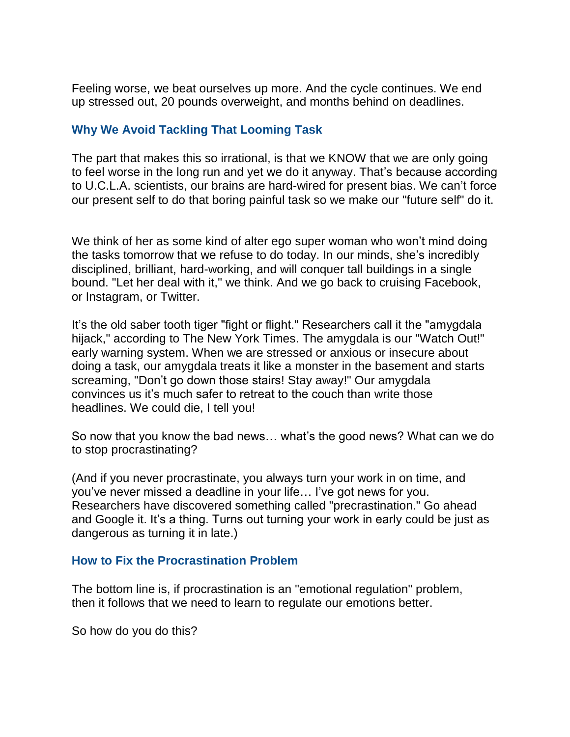Feeling worse, we beat ourselves up more. And the cycle continues. We end up stressed out, 20 pounds overweight, and months behind on deadlines.

### **Why We Avoid Tackling That Looming Task**

The part that makes this so irrational, is that we KNOW that we are only going to feel worse in the long run and yet we do it anyway. That's because according to U.C.L.A. scientists, our brains are hard-wired for present bias. We can't force our present self to do that boring painful task so we make our "future self" do it.

We think of her as some kind of alter ego super woman who won't mind doing the tasks tomorrow that we refuse to do today. In our minds, she's incredibly disciplined, brilliant, hard-working, and will conquer tall buildings in a single bound. "Let her deal with it," we think. And we go back to cruising Facebook, or Instagram, or Twitter.

It's the old saber tooth tiger "fight or flight." Researchers call it the "amygdala hijack," according to The New York Times. The amygdala is our "Watch Out!" early warning system. When we are stressed or anxious or insecure about doing a task, our amygdala treats it like a monster in the basement and starts screaming, "Don't go down those stairs! Stay away!" Our amygdala convinces us it's much safer to retreat to the couch than write those headlines. We could die, I tell you!

So now that you know the bad news… what's the good news? What can we do to stop procrastinating?

(And if you never procrastinate, you always turn your work in on time, and you've never missed a deadline in your life… I've got news for you. Researchers have discovered something called "precrastination." Go ahead and Google it. It's a thing. Turns out turning your work in early could be just as dangerous as turning it in late.)

#### **How to Fix the Procrastination Problem**

The bottom line is, if procrastination is an "emotional regulation" problem, then it follows that we need to learn to regulate our emotions better.

So how do you do this?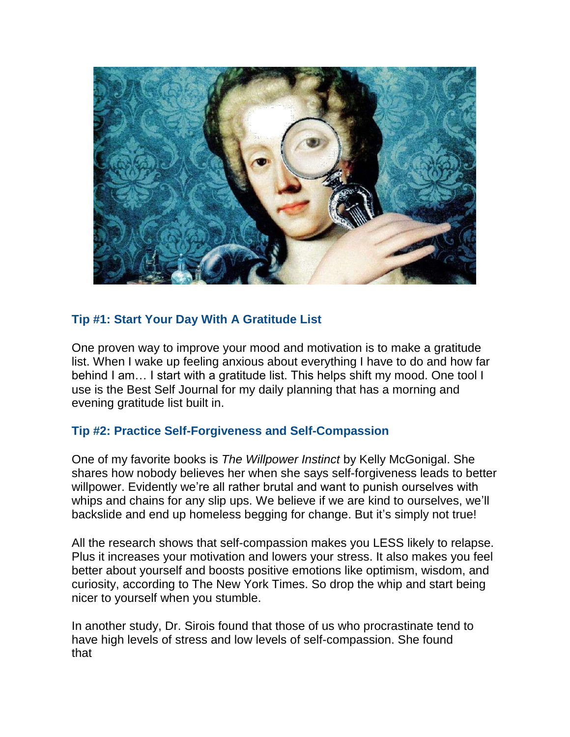

### **Tip #1: Start Your Day With A Gratitude List**

One proven way to improve your mood and motivation is to make a gratitude list. When I wake up feeling anxious about everything I have to do and how far behind I am… I start with a gratitude list. This helps shift my mood. One tool I use is the Best Self Journal for my daily planning that has a morning and evening gratitude list built in.

### **Tip #2: Practice Self-Forgiveness and Self-Compassion**

One of my favorite books is *The Willpower Instinct* by Kelly McGonigal. She shares how nobody believes her when she says self-forgiveness leads to better willpower. Evidently we're all rather brutal and want to punish ourselves with whips and chains for any slip ups. We believe if we are kind to ourselves, we'll backslide and end up homeless begging for change. But it's simply not true!

All the research shows that self-compassion makes you LESS likely to relapse. Plus it increases your motivation and lowers your stress. It also makes you feel better about yourself and boosts positive emotions like optimism, wisdom, and curiosity, according to The New York Times. So drop the whip and start being nicer to yourself when you stumble.

In another study, Dr. Sirois found that those of us who procrastinate tend to have high levels of stress and low levels of self-compassion. She found that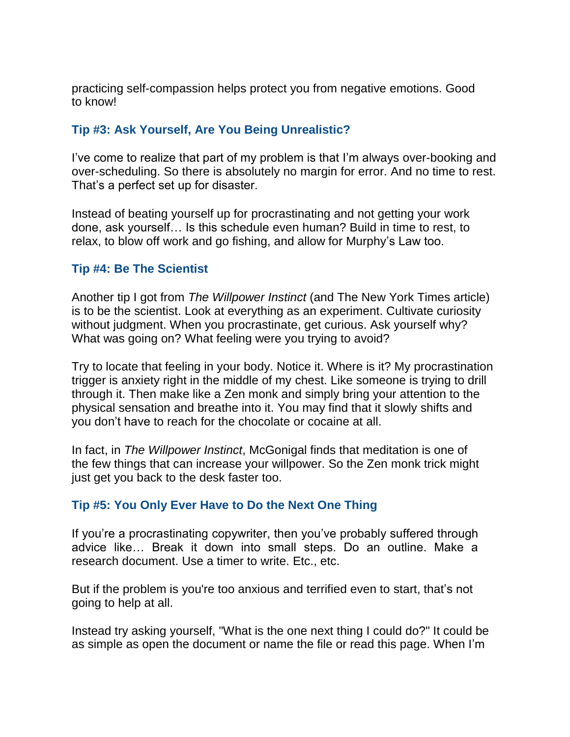practicing self-compassion helps protect you from negative emotions. Good to know!

### **Tip #3: Ask Yourself, Are You Being Unrealistic?**

I've come to realize that part of my problem is that I'm always over-booking and over-scheduling. So there is absolutely no margin for error. And no time to rest. That's a perfect set up for disaster.

Instead of beating yourself up for procrastinating and not getting your work done, ask yourself… Is this schedule even human? Build in time to rest, to relax, to blow off work and go fishing, and allow for Murphy's Law too.

#### **Tip #4: Be The Scientist**

Another tip I got from *The Willpower Instinct* (and The New York Times article) is to be the scientist. Look at everything as an experiment. Cultivate curiosity without judgment. When you procrastinate, get curious. Ask yourself why? What was going on? What feeling were you trying to avoid?

Try to locate that feeling in your body. Notice it. Where is it? My procrastination trigger is anxiety right in the middle of my chest. Like someone is trying to drill through it. Then make like a Zen monk and simply bring your attention to the physical sensation and breathe into it. You may find that it slowly shifts and you don't have to reach for the chocolate or cocaine at all.

In fact, in *The Willpower Instinct*, McGonigal finds that meditation is one of the few things that can increase your willpower. So the Zen monk trick might just get you back to the desk faster too.

#### **Tip #5: You Only Ever Have to Do the Next One Thing**

If you're a procrastinating copywriter, then you've probably suffered through advice like… Break it down into small steps. Do an outline. Make a research document. Use a timer to write. Etc., etc.

But if the problem is you're too anxious and terrified even to start, that's not going to help at all.

Instead try asking yourself, "What is the one next thing I could do?" It could be as simple as open the document or name the file or read this page. When I'm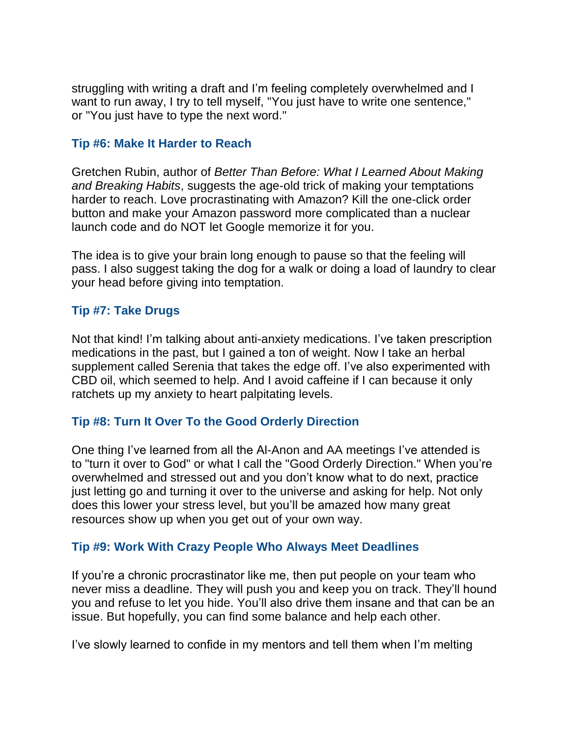struggling with writing a draft and I'm feeling completely overwhelmed and I want to run away, I try to tell myself, "You just have to write one sentence," or "You just have to type the next word."

#### **Tip #6: Make It Harder to Reach**

Gretchen Rubin, author of *Better Than Before: What I Learned About Making and Breaking Habits*, suggests the age-old trick of making your temptations harder to reach. Love procrastinating with Amazon? Kill the one-click order button and make your Amazon password more complicated than a nuclear launch code and do NOT let Google memorize it for you.

The idea is to give your brain long enough to pause so that the feeling will pass. I also suggest taking the dog for a walk or doing a load of laundry to clear your head before giving into temptation.

#### **Tip #7: Take Drugs**

Not that kind! I'm talking about anti-anxiety medications. I've taken prescription medications in the past, but I gained a ton of weight. Now I take an herbal supplement called Serenia that takes the edge off. I've also experimented with CBD oil, which seemed to help. And I avoid caffeine if I can because it only ratchets up my anxiety to heart palpitating levels.

### **Tip #8: Turn It Over To the Good Orderly Direction**

One thing I've learned from all the Al-Anon and AA meetings I've attended is to "turn it over to God" or what I call the "Good Orderly Direction." When you're overwhelmed and stressed out and you don't know what to do next, practice just letting go and turning it over to the universe and asking for help. Not only does this lower your stress level, but you'll be amazed how many great resources show up when you get out of your own way.

#### **Tip #9: Work With Crazy People Who Always Meet Deadlines**

If you're a chronic procrastinator like me, then put people on your team who never miss a deadline. They will push you and keep you on track. They'll hound you and refuse to let you hide. You'll also drive them insane and that can be an issue. But hopefully, you can find some balance and help each other.

I've slowly learned to confide in my mentors and tell them when I'm melting